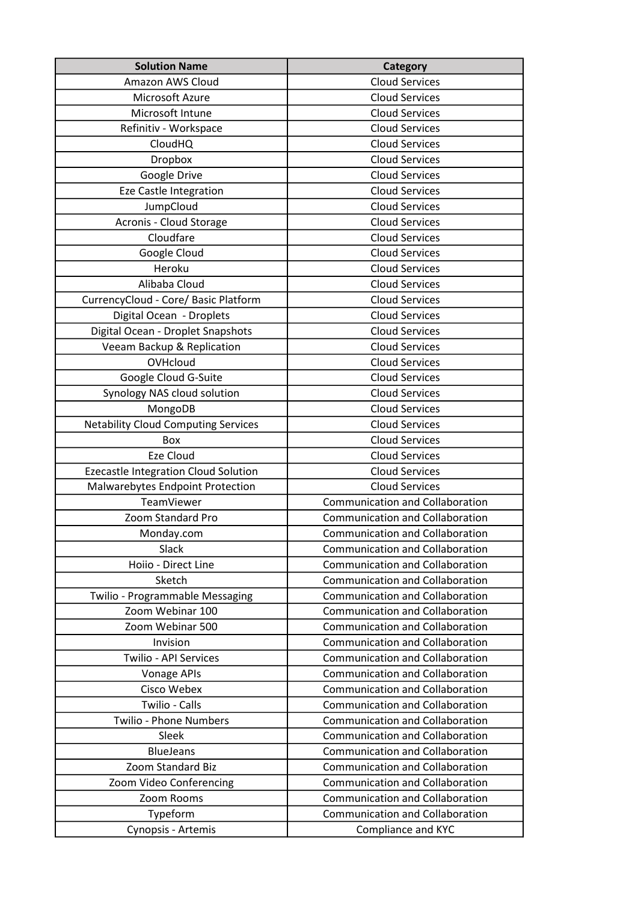| <b>Solution Name</b>                       | Category                               |
|--------------------------------------------|----------------------------------------|
| Amazon AWS Cloud                           | <b>Cloud Services</b>                  |
| Microsoft Azure                            | <b>Cloud Services</b>                  |
| Microsoft Intune                           | <b>Cloud Services</b>                  |
| Refinitiv - Workspace                      | <b>Cloud Services</b>                  |
| <b>CloudHQ</b>                             | <b>Cloud Services</b>                  |
| Dropbox                                    | <b>Cloud Services</b>                  |
| Google Drive                               | <b>Cloud Services</b>                  |
| <b>Eze Castle Integration</b>              | <b>Cloud Services</b>                  |
| JumpCloud                                  | <b>Cloud Services</b>                  |
| Acronis - Cloud Storage                    | <b>Cloud Services</b>                  |
| Cloudfare                                  | <b>Cloud Services</b>                  |
| Google Cloud                               | <b>Cloud Services</b>                  |
| Heroku                                     | <b>Cloud Services</b>                  |
| Alibaba Cloud                              | <b>Cloud Services</b>                  |
| CurrencyCloud - Core/ Basic Platform       | <b>Cloud Services</b>                  |
| Digital Ocean - Droplets                   | <b>Cloud Services</b>                  |
| Digital Ocean - Droplet Snapshots          | <b>Cloud Services</b>                  |
| Veeam Backup & Replication                 | <b>Cloud Services</b>                  |
| OVHcloud                                   | <b>Cloud Services</b>                  |
| Google Cloud G-Suite                       | <b>Cloud Services</b>                  |
| Synology NAS cloud solution                | <b>Cloud Services</b>                  |
| MongoDB                                    | <b>Cloud Services</b>                  |
| <b>Netability Cloud Computing Services</b> | <b>Cloud Services</b>                  |
| Box                                        | <b>Cloud Services</b>                  |
| Eze Cloud                                  | <b>Cloud Services</b>                  |
| Ezecastle Integration Cloud Solution       | <b>Cloud Services</b>                  |
| Malwarebytes Endpoint Protection           | <b>Cloud Services</b>                  |
| TeamViewer                                 | Communication and Collaboration        |
| Zoom Standard Pro                          | Communication and Collaboration        |
| Monday.com                                 | Communication and Collaboration        |
| Slack                                      | <b>Communication and Collaboration</b> |
| Hoiio - Direct Line                        | <b>Communication and Collaboration</b> |
| Sketch                                     | <b>Communication and Collaboration</b> |
| Twilio - Programmable Messaging            | <b>Communication and Collaboration</b> |
| Zoom Webinar 100                           | <b>Communication and Collaboration</b> |
| Zoom Webinar 500                           | <b>Communication and Collaboration</b> |
| Invision                                   | <b>Communication and Collaboration</b> |
| <b>Twilio - API Services</b>               | <b>Communication and Collaboration</b> |
| <b>Vonage APIs</b>                         | <b>Communication and Collaboration</b> |
| Cisco Webex                                | <b>Communication and Collaboration</b> |
| Twilio - Calls                             | Communication and Collaboration        |
| <b>Twilio - Phone Numbers</b>              | <b>Communication and Collaboration</b> |
| Sleek                                      | <b>Communication and Collaboration</b> |
| <b>BlueJeans</b>                           | <b>Communication and Collaboration</b> |
| Zoom Standard Biz                          | <b>Communication and Collaboration</b> |
| Zoom Video Conferencing                    | Communication and Collaboration        |
| Zoom Rooms                                 | <b>Communication and Collaboration</b> |
| Typeform                                   | Communication and Collaboration        |
| Cynopsis - Artemis                         | Compliance and KYC                     |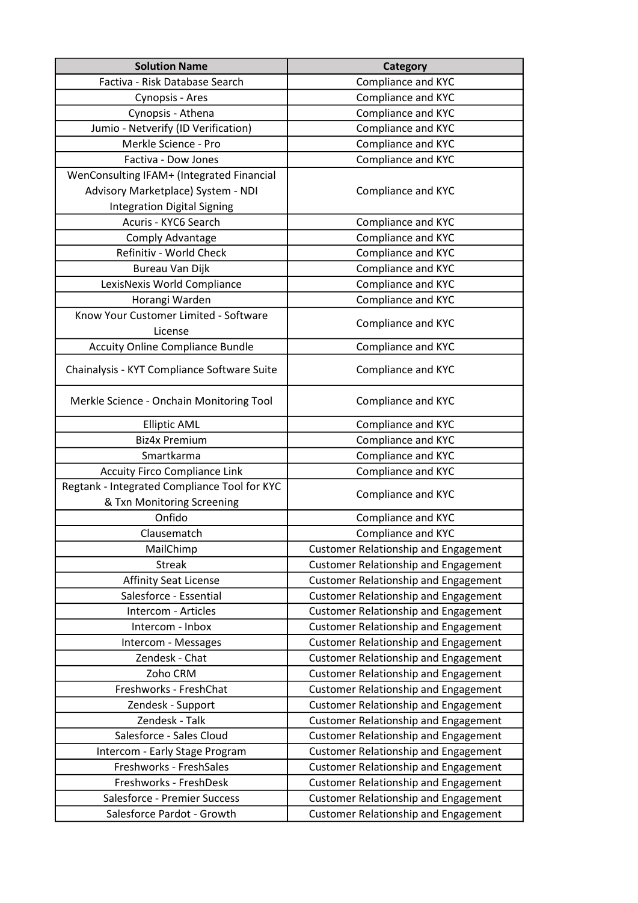| <b>Solution Name</b>                         | <b>Category</b>                             |
|----------------------------------------------|---------------------------------------------|
| Factiva - Risk Database Search               | Compliance and KYC                          |
| Cynopsis - Ares                              | Compliance and KYC                          |
| Cynopsis - Athena                            | Compliance and KYC                          |
| Jumio - Netverify (ID Verification)          | Compliance and KYC                          |
| Merkle Science - Pro                         | Compliance and KYC                          |
| Factiva - Dow Jones                          | Compliance and KYC                          |
| WenConsulting IFAM+ (Integrated Financial    |                                             |
| Advisory Marketplace) System - NDI           | Compliance and KYC                          |
| <b>Integration Digital Signing</b>           |                                             |
| Acuris - KYC6 Search                         | Compliance and KYC                          |
| Comply Advantage                             | Compliance and KYC                          |
| Refinitiv - World Check                      | Compliance and KYC                          |
| Bureau Van Dijk                              | Compliance and KYC                          |
| LexisNexis World Compliance                  | Compliance and KYC                          |
| Horangi Warden                               | Compliance and KYC                          |
| Know Your Customer Limited - Software        | Compliance and KYC                          |
| License                                      |                                             |
| <b>Accuity Online Compliance Bundle</b>      | Compliance and KYC                          |
| Chainalysis - KYT Compliance Software Suite  | Compliance and KYC                          |
| Merkle Science - Onchain Monitoring Tool     | Compliance and KYC                          |
| <b>Elliptic AML</b>                          | Compliance and KYC                          |
| <b>Biz4x Premium</b>                         | Compliance and KYC                          |
| Smartkarma                                   | Compliance and KYC                          |
| <b>Accuity Firco Compliance Link</b>         | Compliance and KYC                          |
| Regtank - Integrated Compliance Tool for KYC | Compliance and KYC                          |
| & Txn Monitoring Screening                   |                                             |
| Onfido                                       | Compliance and KYC                          |
| Clausematch                                  | Compliance and KYC                          |
| MailChimp                                    | <b>Customer Relationship and Engagement</b> |
| <b>Streak</b>                                | <b>Customer Relationship and Engagement</b> |
| <b>Affinity Seat License</b>                 | <b>Customer Relationship and Engagement</b> |
| Salesforce - Essential                       | <b>Customer Relationship and Engagement</b> |
| Intercom - Articles                          | <b>Customer Relationship and Engagement</b> |
| Intercom - Inbox                             | <b>Customer Relationship and Engagement</b> |
| Intercom - Messages                          | <b>Customer Relationship and Engagement</b> |
| Zendesk - Chat                               | <b>Customer Relationship and Engagement</b> |
| Zoho CRM                                     | <b>Customer Relationship and Engagement</b> |
| Freshworks - FreshChat                       | <b>Customer Relationship and Engagement</b> |
| Zendesk - Support                            | <b>Customer Relationship and Engagement</b> |
| Zendesk - Talk                               | Customer Relationship and Engagement        |
| Salesforce - Sales Cloud                     | <b>Customer Relationship and Engagement</b> |
| Intercom - Early Stage Program               | <b>Customer Relationship and Engagement</b> |
| Freshworks - FreshSales                      | <b>Customer Relationship and Engagement</b> |
| Freshworks - FreshDesk                       | <b>Customer Relationship and Engagement</b> |
| Salesforce - Premier Success                 | <b>Customer Relationship and Engagement</b> |
| Salesforce Pardot - Growth                   | <b>Customer Relationship and Engagement</b> |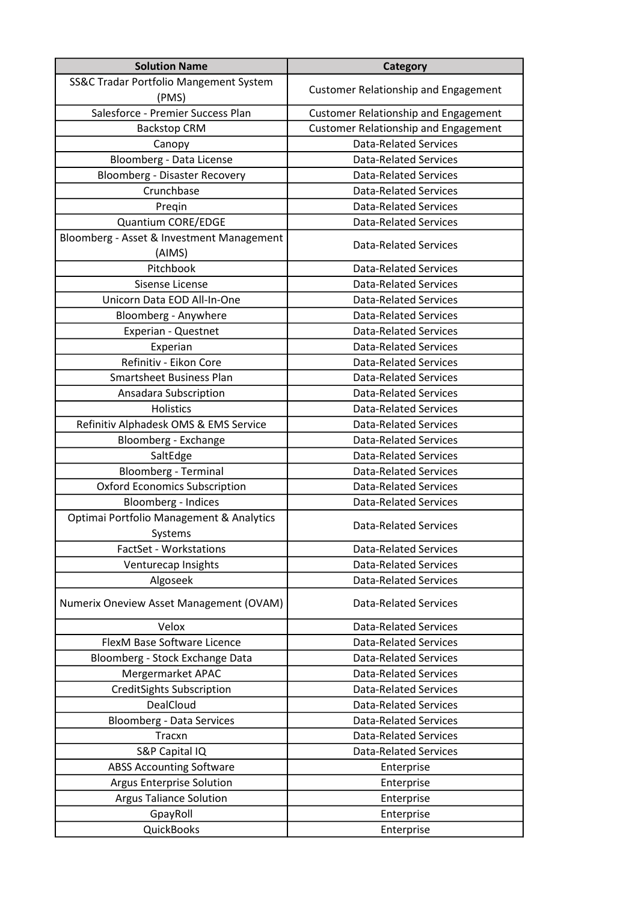| <b>Solution Name</b>                      | Category                                    |
|-------------------------------------------|---------------------------------------------|
| SS&C Tradar Portfolio Mangement System    |                                             |
| (PMS)                                     | <b>Customer Relationship and Engagement</b> |
| Salesforce - Premier Success Plan         | <b>Customer Relationship and Engagement</b> |
| <b>Backstop CRM</b>                       | Customer Relationship and Engagement        |
| Canopy                                    | <b>Data-Related Services</b>                |
| Bloomberg - Data License                  | <b>Data-Related Services</b>                |
| <b>Bloomberg - Disaster Recovery</b>      | <b>Data-Related Services</b>                |
| Crunchbase                                | <b>Data-Related Services</b>                |
| Pregin                                    | <b>Data-Related Services</b>                |
| Quantium CORE/EDGE                        | <b>Data-Related Services</b>                |
| Bloomberg - Asset & Investment Management |                                             |
| (AIMS)                                    | <b>Data-Related Services</b>                |
| Pitchbook                                 | <b>Data-Related Services</b>                |
| Sisense License                           | <b>Data-Related Services</b>                |
| Unicorn Data EOD All-In-One               | <b>Data-Related Services</b>                |
| Bloomberg - Anywhere                      | <b>Data-Related Services</b>                |
| Experian - Questnet                       | <b>Data-Related Services</b>                |
| Experian                                  | <b>Data-Related Services</b>                |
| Refinitiv - Eikon Core                    | <b>Data-Related Services</b>                |
| <b>Smartsheet Business Plan</b>           | <b>Data-Related Services</b>                |
| Ansadara Subscription                     | <b>Data-Related Services</b>                |
| Holistics                                 | <b>Data-Related Services</b>                |
| Refinitiv Alphadesk OMS & EMS Service     | <b>Data-Related Services</b>                |
| Bloomberg - Exchange                      | <b>Data-Related Services</b>                |
| SaltEdge                                  | <b>Data-Related Services</b>                |
| <b>Bloomberg - Terminal</b>               | <b>Data-Related Services</b>                |
| <b>Oxford Economics Subscription</b>      | <b>Data-Related Services</b>                |
| Bloomberg - Indices                       | <b>Data-Related Services</b>                |
| Optimai Portfolio Management & Analytics  |                                             |
| Systems                                   | <b>Data-Related Services</b>                |
| FactSet - Workstations                    | <b>Data-Related Services</b>                |
| Venturecap Insights                       | <b>Data-Related Services</b>                |
| Algoseek                                  | <b>Data-Related Services</b>                |
| Numerix Oneview Asset Management (OVAM)   | <b>Data-Related Services</b>                |
| Velox                                     | <b>Data-Related Services</b>                |
| FlexM Base Software Licence               | <b>Data-Related Services</b>                |
| Bloomberg - Stock Exchange Data           | <b>Data-Related Services</b>                |
| Mergermarket APAC                         | <b>Data-Related Services</b>                |
| <b>CreditSights Subscription</b>          | <b>Data-Related Services</b>                |
| DealCloud                                 | <b>Data-Related Services</b>                |
| <b>Bloomberg - Data Services</b>          | <b>Data-Related Services</b>                |
| Tracxn                                    | <b>Data-Related Services</b>                |
| S&P Capital IQ                            | <b>Data-Related Services</b>                |
| <b>ABSS Accounting Software</b>           | Enterprise                                  |
| <b>Argus Enterprise Solution</b>          | Enterprise                                  |
| <b>Argus Taliance Solution</b>            | Enterprise                                  |
| GpayRoll                                  | Enterprise                                  |
| <b>QuickBooks</b>                         | Enterprise                                  |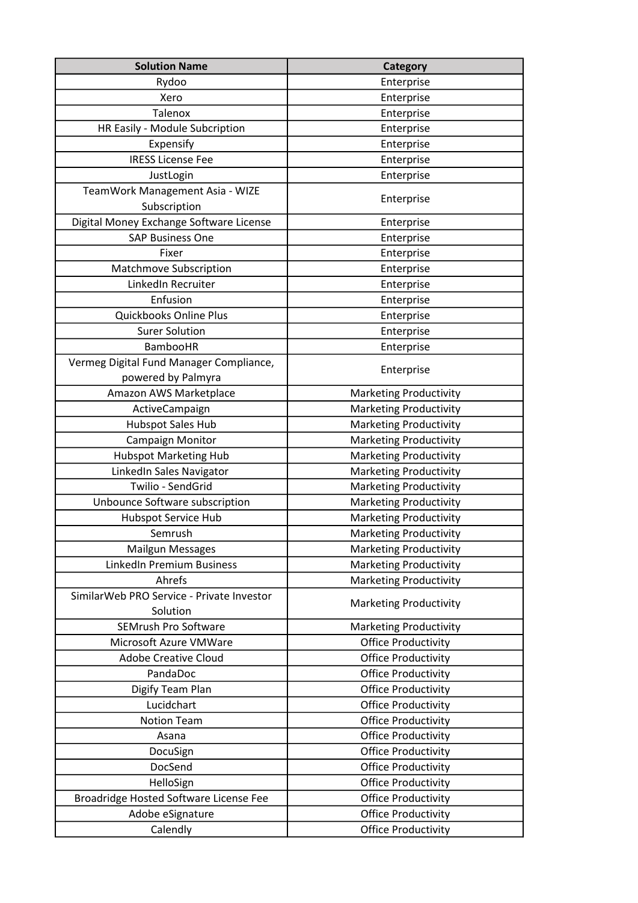| <b>Solution Name</b>                                          | <b>Category</b>               |
|---------------------------------------------------------------|-------------------------------|
| Rydoo                                                         | Enterprise                    |
| Xero                                                          | Enterprise                    |
| <b>Talenox</b>                                                | Enterprise                    |
| HR Easily - Module Subcription                                | Enterprise                    |
| Expensify                                                     | Enterprise                    |
| <b>IRESS License Fee</b>                                      | Enterprise                    |
| JustLogin                                                     | Enterprise                    |
| TeamWork Management Asia - WIZE<br>Subscription               | Enterprise                    |
| Digital Money Exchange Software License                       | Enterprise                    |
| <b>SAP Business One</b>                                       | Enterprise                    |
| Fixer                                                         | Enterprise                    |
| Matchmove Subscription                                        | Enterprise                    |
| LinkedIn Recruiter                                            | Enterprise                    |
| Enfusion                                                      | Enterprise                    |
| Quickbooks Online Plus                                        | Enterprise                    |
| <b>Surer Solution</b>                                         | Enterprise                    |
| <b>BambooHR</b>                                               | Enterprise                    |
| Vermeg Digital Fund Manager Compliance,<br>powered by Palmyra | Enterprise                    |
| Amazon AWS Marketplace                                        | <b>Marketing Productivity</b> |
| ActiveCampaign                                                | <b>Marketing Productivity</b> |
| <b>Hubspot Sales Hub</b>                                      | <b>Marketing Productivity</b> |
| Campaign Monitor                                              | <b>Marketing Productivity</b> |
| <b>Hubspot Marketing Hub</b>                                  | <b>Marketing Productivity</b> |
| LinkedIn Sales Navigator                                      | <b>Marketing Productivity</b> |
| Twilio - SendGrid                                             | <b>Marketing Productivity</b> |
| Unbounce Software subscription                                | <b>Marketing Productivity</b> |
| <b>Hubspot Service Hub</b>                                    | <b>Marketing Productivity</b> |
| Semrush                                                       | <b>Marketing Productivity</b> |
| <b>Mailgun Messages</b>                                       | <b>Marketing Productivity</b> |
| <b>LinkedIn Premium Business</b>                              | <b>Marketing Productivity</b> |
| Ahrefs                                                        | <b>Marketing Productivity</b> |
| SimilarWeb PRO Service - Private Investor<br>Solution         | <b>Marketing Productivity</b> |
| <b>SEMrush Pro Software</b>                                   | <b>Marketing Productivity</b> |
| Microsoft Azure VMWare                                        | <b>Office Productivity</b>    |
| <b>Adobe Creative Cloud</b>                                   | <b>Office Productivity</b>    |
| PandaDoc                                                      | <b>Office Productivity</b>    |
| Digify Team Plan                                              | <b>Office Productivity</b>    |
| Lucidchart                                                    | <b>Office Productivity</b>    |
| <b>Notion Team</b>                                            | <b>Office Productivity</b>    |
| Asana                                                         | <b>Office Productivity</b>    |
| DocuSign                                                      | <b>Office Productivity</b>    |
| DocSend                                                       | <b>Office Productivity</b>    |
| HelloSign                                                     | <b>Office Productivity</b>    |
| Broadridge Hosted Software License Fee                        | <b>Office Productivity</b>    |
| Adobe eSignature                                              | <b>Office Productivity</b>    |
| Calendly                                                      | <b>Office Productivity</b>    |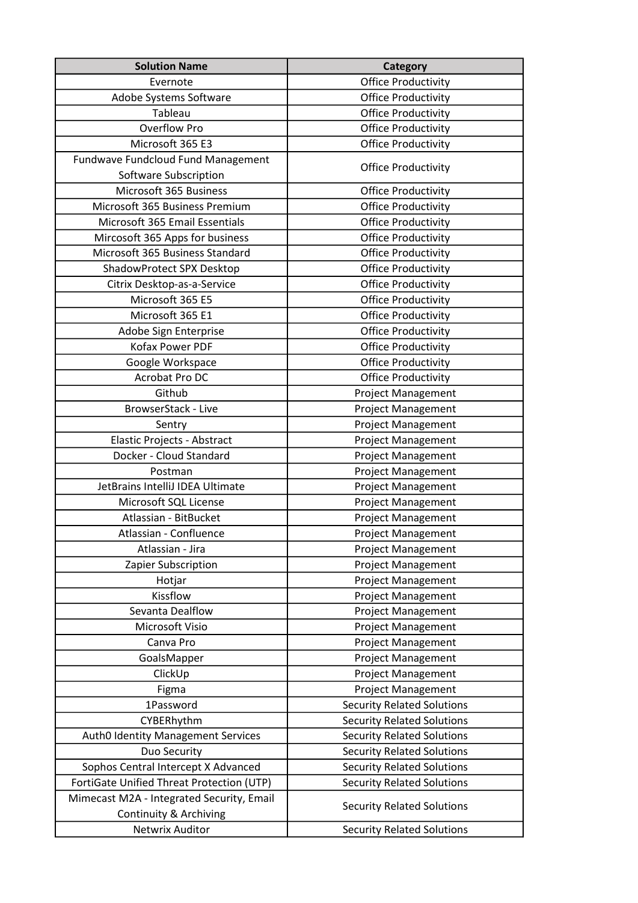| <b>Solution Name</b>                                                | Category                          |
|---------------------------------------------------------------------|-----------------------------------|
| Evernote                                                            | <b>Office Productivity</b>        |
| Adobe Systems Software                                              | <b>Office Productivity</b>        |
| Tableau                                                             | <b>Office Productivity</b>        |
| <b>Overflow Pro</b>                                                 | <b>Office Productivity</b>        |
| Microsoft 365 E3                                                    | <b>Office Productivity</b>        |
| Fundwave Fundcloud Fund Management                                  | <b>Office Productivity</b>        |
| Software Subscription                                               |                                   |
| Microsoft 365 Business                                              | <b>Office Productivity</b>        |
| Microsoft 365 Business Premium                                      | <b>Office Productivity</b>        |
| Microsoft 365 Email Essentials                                      | <b>Office Productivity</b>        |
| Mircosoft 365 Apps for business                                     | <b>Office Productivity</b>        |
| Microsoft 365 Business Standard                                     | <b>Office Productivity</b>        |
| ShadowProtect SPX Desktop                                           | <b>Office Productivity</b>        |
| Citrix Desktop-as-a-Service                                         | <b>Office Productivity</b>        |
| Microsoft 365 E5                                                    | <b>Office Productivity</b>        |
| Microsoft 365 E1                                                    | <b>Office Productivity</b>        |
| Adobe Sign Enterprise                                               | <b>Office Productivity</b>        |
| Kofax Power PDF                                                     | <b>Office Productivity</b>        |
| Google Workspace                                                    | <b>Office Productivity</b>        |
| Acrobat Pro DC                                                      | <b>Office Productivity</b>        |
| Github                                                              | <b>Project Management</b>         |
| <b>BrowserStack - Live</b>                                          | <b>Project Management</b>         |
| Sentry                                                              | <b>Project Management</b>         |
| Elastic Projects - Abstract                                         | <b>Project Management</b>         |
| Docker - Cloud Standard                                             | <b>Project Management</b>         |
| Postman                                                             | <b>Project Management</b>         |
| JetBrains IntelliJ IDEA Ultimate                                    | <b>Project Management</b>         |
| Microsoft SQL License                                               | <b>Project Management</b>         |
| Atlassian - BitBucket                                               | <b>Project Management</b>         |
| Atlassian - Confluence                                              | <b>Project Management</b>         |
| Atlassian - Jira                                                    | <b>Project Management</b>         |
| Zapier Subscription                                                 | <b>Project Management</b>         |
| Hotjar                                                              | <b>Project Management</b>         |
| Kissflow                                                            | <b>Project Management</b>         |
| Sevanta Dealflow                                                    | <b>Project Management</b>         |
| Microsoft Visio                                                     | <b>Project Management</b>         |
| Canva Pro                                                           | <b>Project Management</b>         |
| GoalsMapper                                                         | <b>Project Management</b>         |
| ClickUp                                                             | <b>Project Management</b>         |
| Figma                                                               | <b>Project Management</b>         |
| 1Password                                                           | <b>Security Related Solutions</b> |
| CYBERhythm                                                          | <b>Security Related Solutions</b> |
| Auth0 Identity Management Services                                  | <b>Security Related Solutions</b> |
| Duo Security                                                        | <b>Security Related Solutions</b> |
| Sophos Central Intercept X Advanced                                 | <b>Security Related Solutions</b> |
| FortiGate Unified Threat Protection (UTP)                           | <b>Security Related Solutions</b> |
| Mimecast M2A - Integrated Security, Email<br>Continuity & Archiving | <b>Security Related Solutions</b> |
| Netwrix Auditor                                                     | <b>Security Related Solutions</b> |